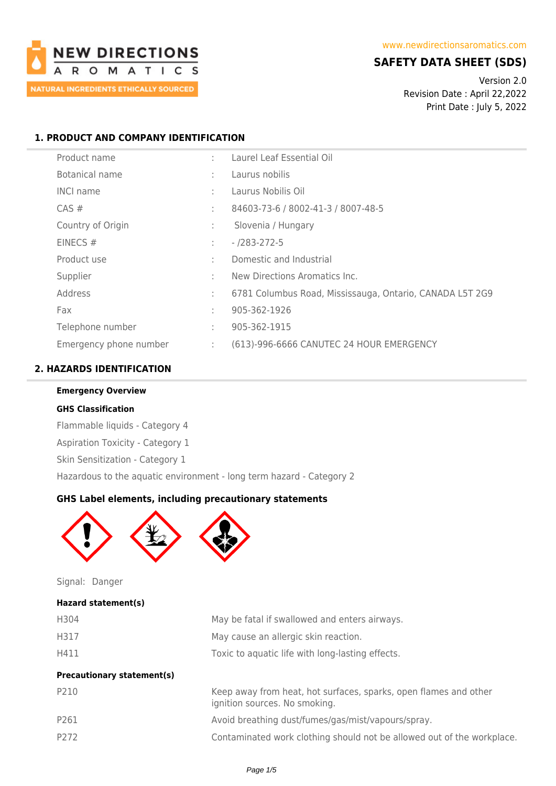

# **SAFETY DATA SHEET (SDS)**

Version 2.0 Revision Date : April 22,2022 Print Date : July 5, 2022

# **1. PRODUCT AND COMPANY IDENTIFICATION**

| Product name           | ٠  | Laurel Leaf Essential Oil                                |
|------------------------|----|----------------------------------------------------------|
| Botanical name         | ÷  | Laurus nobilis                                           |
| <b>INCI name</b>       | ÷  | Laurus Nobilis Oil                                       |
| $CAS \#$               | ÷  | 84603-73-6 / 8002-41-3 / 8007-48-5                       |
| Country of Origin      | ÷  | Slovenia / Hungary                                       |
| EINECS#                | ÷  | $- 7283 - 272 - 5$                                       |
| Product use            | ٠  | Domestic and Industrial                                  |
| Supplier               | ٠  | New Directions Aromatics Inc.                            |
| Address                | ÷  | 6781 Columbus Road, Mississauga, Ontario, CANADA L5T 2G9 |
| Fax                    | ÷  | 905-362-1926                                             |
| Telephone number       | ÷  | 905-362-1915                                             |
| Emergency phone number | ÷. | (613)-996-6666 CANUTEC 24 HOUR EMERGENCY                 |

# **2. HAZARDS IDENTIFICATION**

**Emergency Overview**

Flammable liquids - Category 4 Aspiration Toxicity - Category 1

**GHS Classification**

| Skin Sensitization - Category 1 |  |                                                                      |
|---------------------------------|--|----------------------------------------------------------------------|
|                                 |  | Hazardous to the aquatic environment - long term hazard - Category 2 |
|                                 |  | <b>GHS Label elements, including precautionary statements</b>        |
|                                 |  |                                                                      |
|                                 |  |                                                                      |
|                                 |  |                                                                      |

Signal: Danger

**Hazard statement(s)**

| H304                              | May be fatal if swallowed and enters airways.                                                     |
|-----------------------------------|---------------------------------------------------------------------------------------------------|
| H317                              | May cause an allergic skin reaction.                                                              |
| H411                              | Toxic to aquatic life with long-lasting effects.                                                  |
| <b>Precautionary statement(s)</b> |                                                                                                   |
| P210                              | Keep away from heat, hot surfaces, sparks, open flames and other<br>ignition sources. No smoking. |
| P261                              | Avoid breathing dust/fumes/gas/mist/vapours/spray.                                                |
| P272                              | Contaminated work clothing should not be allowed out of the workplace.                            |
|                                   |                                                                                                   |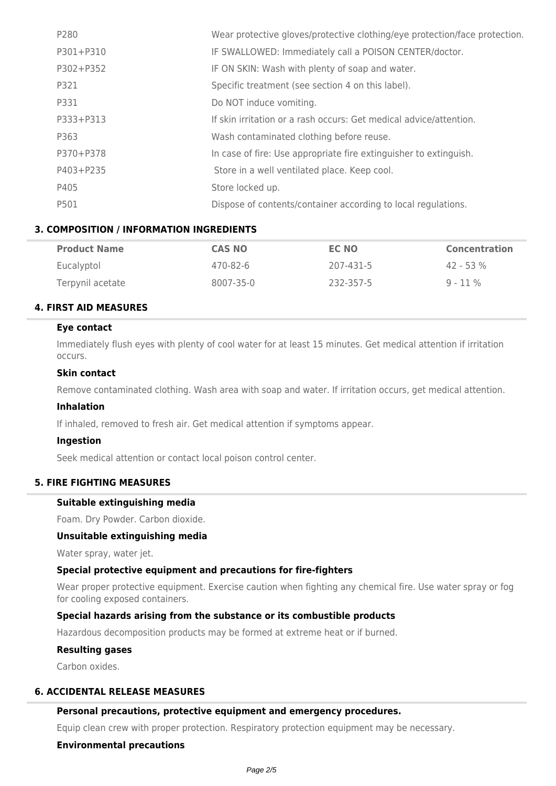| P280      | Wear protective gloves/protective clothing/eye protection/face protection. |
|-----------|----------------------------------------------------------------------------|
| P301+P310 | IF SWALLOWED: Immediately call a POISON CENTER/doctor.                     |
| P302+P352 | IF ON SKIN: Wash with plenty of soap and water.                            |
| P321      | Specific treatment (see section 4 on this label).                          |
| P331      | Do NOT induce vomiting.                                                    |
| P333+P313 | If skin irritation or a rash occurs: Get medical advice/attention.         |
| P363      | Wash contaminated clothing before reuse.                                   |
| P370+P378 | In case of fire: Use appropriate fire extinguisher to extinguish.          |
| P403+P235 | Store in a well ventilated place. Keep cool.                               |
| P405      | Store locked up.                                                           |
| P501      | Dispose of contents/container according to local regulations.              |

### **3. COMPOSITION / INFORMATION INGREDIENTS**

| <b>Product Name</b> | <b>CAS NO</b> | EC NO     | <b>Concentration</b> |
|---------------------|---------------|-----------|----------------------|
| Eucalyptol          | 470-82-6      | 207-431-5 | $42 - 53%$           |
| Terpynil acetate    | 8007-35-0     | 232-357-5 | $9 - 11\%$           |

### **4. FIRST AID MEASURES**

#### **Eye contact**

Immediately flush eyes with plenty of cool water for at least 15 minutes. Get medical attention if irritation occurs.

### **Skin contact**

Remove contaminated clothing. Wash area with soap and water. If irritation occurs, get medical attention.

### **Inhalation**

If inhaled, removed to fresh air. Get medical attention if symptoms appear.

#### **Ingestion**

Seek medical attention or contact local poison control center.

# **5. FIRE FIGHTING MEASURES**

### **Suitable extinguishing media**

Foam. Dry Powder. Carbon dioxide.

#### **Unsuitable extinguishing media**

Water spray, water jet.

### **Special protective equipment and precautions for fire-fighters**

Wear proper protective equipment. Exercise caution when fighting any chemical fire. Use water spray or fog for cooling exposed containers.

#### **Special hazards arising from the substance or its combustible products**

Hazardous decomposition products may be formed at extreme heat or if burned.

## **Resulting gases**

Carbon oxides.

### **6. ACCIDENTAL RELEASE MEASURES**

#### **Personal precautions, protective equipment and emergency procedures.**

Equip clean crew with proper protection. Respiratory protection equipment may be necessary.

## **Environmental precautions**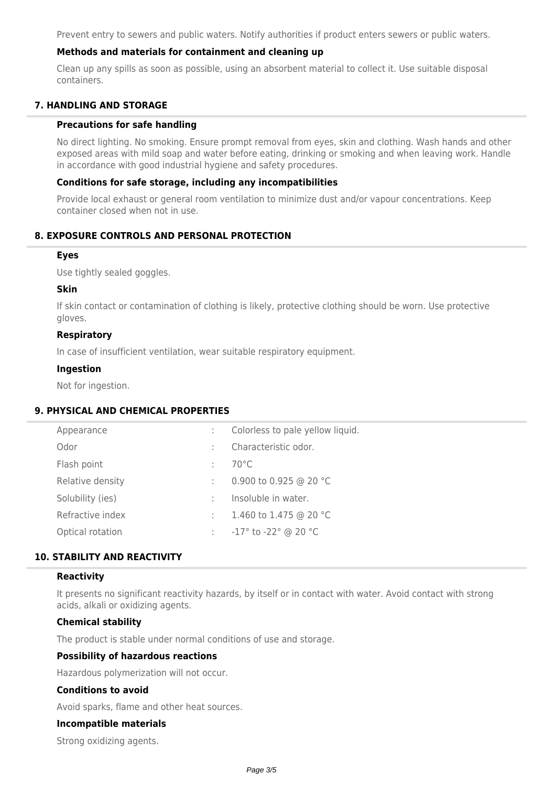Prevent entry to sewers and public waters. Notify authorities if product enters sewers or public waters.

### **Methods and materials for containment and cleaning up**

Clean up any spills as soon as possible, using an absorbent material to collect it. Use suitable disposal containers.

### **7. HANDLING AND STORAGE**

#### **Precautions for safe handling**

No direct lighting. No smoking. Ensure prompt removal from eyes, skin and clothing. Wash hands and other exposed areas with mild soap and water before eating, drinking or smoking and when leaving work. Handle in accordance with good industrial hygiene and safety procedures.

### **Conditions for safe storage, including any incompatibilities**

Provide local exhaust or general room ventilation to minimize dust and/or vapour concentrations. Keep container closed when not in use.

# **8. EXPOSURE CONTROLS AND PERSONAL PROTECTION**

#### **Eyes**

Use tightly sealed goggles.

#### **Skin**

If skin contact or contamination of clothing is likely, protective clothing should be worn. Use protective gloves.

### **Respiratory**

In case of insufficient ventilation, wear suitable respiratory equipment.

### **Ingestion**

Not for ingestion.

### **9. PHYSICAL AND CHEMICAL PROPERTIES**

| Appearance       | ÷ | Colorless to pale yellow liquid.       |
|------------------|---|----------------------------------------|
| Odor             |   | Characteristic odor.                   |
| Flash point      |   | $70^{\circ}$ C                         |
| Relative density |   | 0.900 to 0.925 @ 20 °C                 |
| Solubility (ies) |   | Insoluble in water.                    |
| Refractive index | ÷ | 1.460 to 1.475 @ 20 °C                 |
| Optical rotation | ÷ | $-17^{\circ}$ to $-22^{\circ}$ @ 20 °C |
|                  |   |                                        |

# **10. STABILITY AND REACTIVITY**

### **Reactivity**

It presents no significant reactivity hazards, by itself or in contact with water. Avoid contact with strong acids, alkali or oxidizing agents.

### **Chemical stability**

The product is stable under normal conditions of use and storage.

#### **Possibility of hazardous reactions**

Hazardous polymerization will not occur.

### **Conditions to avoid**

Avoid sparks, flame and other heat sources.

#### **Incompatible materials**

Strong oxidizing agents.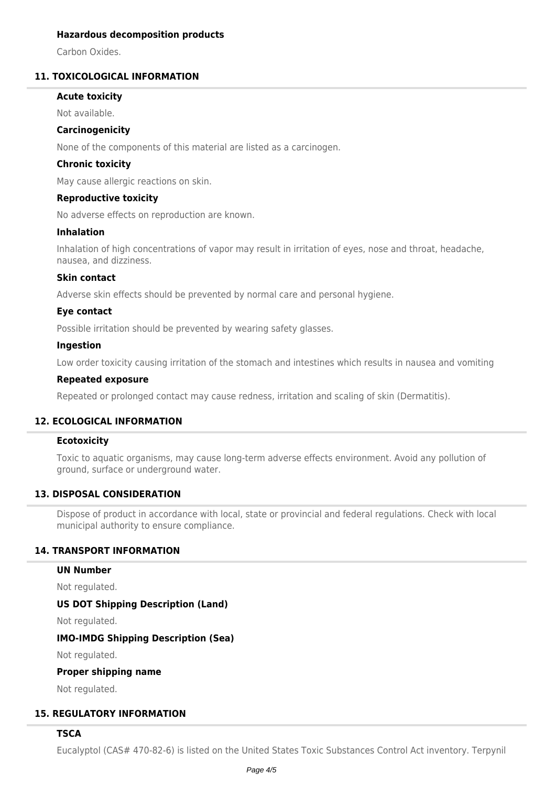### **Hazardous decomposition products**

Carbon Oxides.

# **11. TOXICOLOGICAL INFORMATION**

### **Acute toxicity**

Not available.

### **Carcinogenicity**

None of the components of this material are listed as a carcinogen.

### **Chronic toxicity**

May cause allergic reactions on skin.

### **Reproductive toxicity**

No adverse effects on reproduction are known.

### **Inhalation**

Inhalation of high concentrations of vapor may result in irritation of eyes, nose and throat, headache, nausea, and dizziness.

### **Skin contact**

Adverse skin effects should be prevented by normal care and personal hygiene.

### **Eye contact**

Possible irritation should be prevented by wearing safety glasses.

### **Ingestion**

Low order toxicity causing irritation of the stomach and intestines which results in nausea and vomiting

### **Repeated exposure**

Repeated or prolonged contact may cause redness, irritation and scaling of skin (Dermatitis).

# **12. ECOLOGICAL INFORMATION**

### **Ecotoxicity**

Toxic to aquatic organisms, may cause long-term adverse effects environment. Avoid any pollution of ground, surface or underground water.

# **13. DISPOSAL CONSIDERATION**

Dispose of product in accordance with local, state or provincial and federal regulations. Check with local municipal authority to ensure compliance.

### **14. TRANSPORT INFORMATION**

### **UN Number**

Not regulated.

### **US DOT Shipping Description (Land)**

Not regulated.

### **IMO-IMDG Shipping Description (Sea)**

Not regulated.

### **Proper shipping name**

Not regulated.

### **15. REGULATORY INFORMATION**

### **TSCA**

Eucalyptol (CAS# 470-82-6) is listed on the United States Toxic Substances Control Act inventory. Terpynil